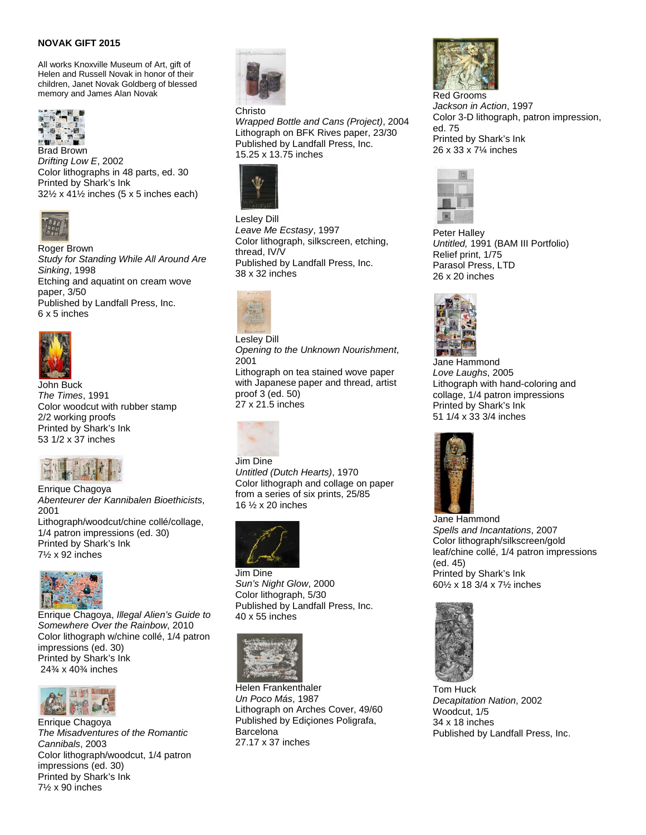## **NOVAK GIFT 2015**

All works Knoxville Museum of Art, gift of Helen and Russell Novak in honor of their children, Janet Novak Goldberg of blessed memory and James Alan Novak



*Drifting Low E*, 2002 Color lithographs in 48 parts, ed. 30 Printed by Shark's Ink  $32\frac{1}{2}$  x 41 $\frac{1}{2}$  inches (5 x 5 inches each)



Roger Brown *Study for Standing While All Around Are Sinking*, 1998 Etching and aquatint on cream wove paper, 3/50 Published by Landfall Press, Inc. 6 x 5 inches



John Buck *The Times*, 1991 Color woodcut with rubber stamp 2/2 working proofs Printed by Shark's Ink 53 1/2 x 37 inches



Enrique Chagoya *Abenteurer der Kannibalen Bioethicists*, 2001 Lithograph/woodcut/chine collé/collage, 1/4 patron impressions (ed. 30) Printed by Shark's Ink 7½ x 92 inches



Enrique Chagoya, *Illegal Alien's Guide to Somewhere Over the Rainbow*, 2010 Color lithograph w/chine collé, 1/4 patron impressions (ed. 30) Printed by Shark's Ink 24¾ x 40¾ inches



Enrique Chagoya *The Misadventures of the Romantic Cannibals*, 2003 Color lithograph/woodcut, 1/4 patron impressions (ed. 30) Printed by Shark's Ink 7½ x 90 inches



## **Christo**

*Wrapped Bottle and Cans (Project)*, 2004 Lithograph on BFK Rives paper, 23/30 Published by Landfall Press, Inc. 15.25 x 13.75 inches



Lesley Dill *Leave Me Ecstasy*, 1997 Color lithograph, silkscreen, etching, thread, IV/V Published by Landfall Press, Inc. 38 x 32 inches



Lesley Dill *Opening to the Unknown Nourishment*, 2001

Lithograph on tea stained wove paper with Japanese paper and thread, artist proof 3 (ed. 50) 27 x 21.5 inches



Jim Dine *Untitled (Dutch Hearts)*, 1970 Color lithograph and collage on paper from a series of six prints, 25/85 16 ½ x 20 inches



Jim Dine *Sun's Night Glow*, 2000 Color lithograph, 5/30 Published by Landfall Press, Inc. 40 x 55 inches



Helen Frankenthaler *Un Poco Más*, 1987 Lithograph on Arches Cover, 49/60 Published by Ediçiones Poligrafa, Barcelona 27.17 x 37 inches



Red Grooms *Jackson in Action*, 1997 Color 3-D lithograph, patron impression, ed. 75 Printed by Shark's Ink 26 x 33 x 7¼ inches



Peter Halley *Untitled,* 1991 (BAM III Portfolio) Relief print, 1/75 Parasol Press, LTD 26 x 20 inches



 Jane Hammond *Love Laughs*, 2005 Lithograph with hand-coloring and collage, 1/4 patron impressions Printed by Shark's Ink 51 1/4 x 33 3/4 inches



Jane Hammond *Spells and Incantations*, 2007 Color lithograph/silkscreen/gold leaf/chine collé, 1/4 patron impressions (ed. 45) Printed by Shark's Ink 60½ x 18 3/4 x 7½ inches



Tom Huck *Decapitation Nation*, 2002 Woodcut, 1/5 34 x 18 inches Published by Landfall Press, Inc.